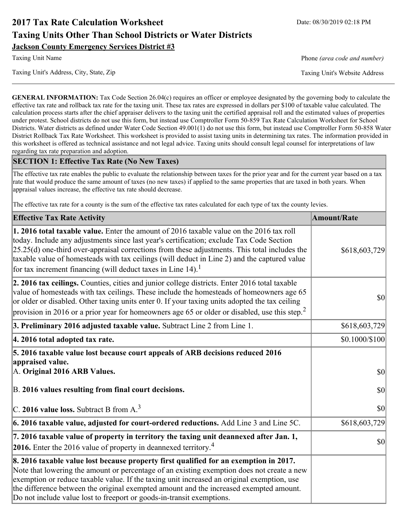# **2017 Tax Rate Calculation Worksheet** Date: 08/30/2019 02:18 PM **Taxing Units Other Than School Districts or Water Districts Jackson County Emergency Services District #3**

Taxing Unit's Address, City, State, Zip Taxing Unit's Website Address

Taxing Unit Name **Phone** *(area code and number)* Phone *(area code and number)* 

**GENERAL INFORMATION:** Tax Code Section 26.04(c) requires an officer or employee designated by the governing body to calculate the effective tax rate and rollback tax rate for the taxing unit. These tax rates are expressed in dollars per \$100 of taxable value calculated. The calculation process starts after the chief appraiser delivers to the taxing unit the certified appraisal roll and the estimated values of properties under protest. School districts do not use this form, but instead use Comptroller Form 50-859 Tax Rate Calculation Worksheet for School Districts. Water districts as defined under Water Code Section 49.001(1) do not use this form, but instead use Comptroller Form 50-858 Water District Rollback Tax Rate Worksheet. This worksheet is provided to assist taxing units in determining tax rates. The information provided in this worksheet is offered as technical assistance and not legal advice. Taxing units should consult legal counsel for interpretations of law regarding tax rate preparation and adoption.

### **SECTION 1: Effective Tax Rate (No New Taxes)**

The effective tax rate enables the public to evaluate the relationship between taxes for the prior year and for the current year based on a tax rate that would produce the same amount of taxes (no new taxes) if applied to the same properties that are taxed in both years. When appraisal values increase, the effective tax rate should decrease.

The effective tax rate for a county is the sum of the effective tax rates calculated for each type of tax the county levies.

| <b>Effective Tax Rate Activity</b>                                                                                                                                                                                                                                                                                                                                                                                                                                             | <b>Amount/Rate</b> |
|--------------------------------------------------------------------------------------------------------------------------------------------------------------------------------------------------------------------------------------------------------------------------------------------------------------------------------------------------------------------------------------------------------------------------------------------------------------------------------|--------------------|
| <b>1. 2016 total taxable value.</b> Enter the amount of 2016 taxable value on the 2016 tax roll<br>today. Include any adjustments since last year's certification; exclude Tax Code Section<br>$[25.25(d)$ one-third over-appraisal corrections from these adjustments. This total includes the<br>taxable value of homesteads with tax ceilings (will deduct in Line 2) and the captured value<br>for tax increment financing (will deduct taxes in Line $14$ ). <sup>1</sup> | \$618,603,729      |
| 2. 2016 tax ceilings. Counties, cities and junior college districts. Enter 2016 total taxable<br>value of homesteads with tax ceilings. These include the homesteads of homeowners age 65<br>or older or disabled. Other taxing units enter 0. If your taxing units adopted the tax ceiling<br>provision in 2016 or a prior year for homeowners age 65 or older or disabled, use this step. <sup>2</sup>                                                                       | 30                 |
| 3. Preliminary 2016 adjusted taxable value. Subtract Line 2 from Line 1.                                                                                                                                                                                                                                                                                                                                                                                                       | \$618,603,729      |
| 4. 2016 total adopted tax rate.                                                                                                                                                                                                                                                                                                                                                                                                                                                | \$0.1000/\$100     |
| 5. 2016 taxable value lost because court appeals of ARB decisions reduced 2016<br>appraised value.<br>A. Original 2016 ARB Values.                                                                                                                                                                                                                                                                                                                                             | $ 10\rangle$       |
| B. 2016 values resulting from final court decisions.                                                                                                                                                                                                                                                                                                                                                                                                                           | 30                 |
| C. 2016 value loss. Subtract B from $A3$                                                                                                                                                                                                                                                                                                                                                                                                                                       | 30                 |
| 6. 2016 taxable value, adjusted for court-ordered reductions. Add Line 3 and Line 5C.                                                                                                                                                                                                                                                                                                                                                                                          | \$618,603,729      |
| 7. 2016 taxable value of property in territory the taxing unit deannexed after Jan. 1,<br><b>2016.</b> Enter the 2016 value of property in deannexed territory. <sup>4</sup>                                                                                                                                                                                                                                                                                                   | $ 10\rangle$       |
| 8. 2016 taxable value lost because property first qualified for an exemption in 2017.<br>Note that lowering the amount or percentage of an existing exemption does not create a new<br>exemption or reduce taxable value. If the taxing unit increased an original exemption, use<br>the difference between the original exempted amount and the increased exempted amount.<br>Do not include value lost to freeport or goods-in-transit exemptions.                           |                    |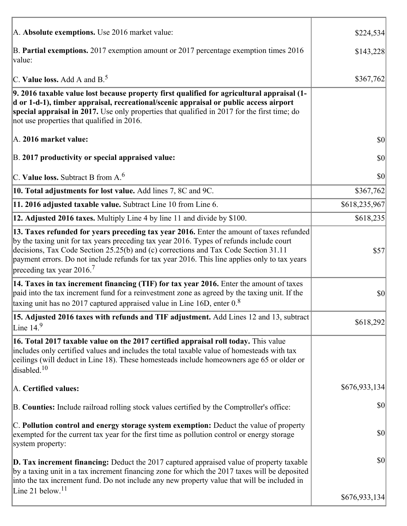| A. Absolute exemptions. Use 2016 market value:                                                                                                                                                                                                                                                                                                                                                                         | \$224,534     |
|------------------------------------------------------------------------------------------------------------------------------------------------------------------------------------------------------------------------------------------------------------------------------------------------------------------------------------------------------------------------------------------------------------------------|---------------|
| B. Partial exemptions. 2017 exemption amount or 2017 percentage exemption times 2016<br>value:                                                                                                                                                                                                                                                                                                                         | \$143,228     |
| C. Value loss. Add A and $B^5$ .                                                                                                                                                                                                                                                                                                                                                                                       | \$367,762     |
| 9. 2016 taxable value lost because property first qualified for agricultural appraisal (1-<br>d or 1-d-1), timber appraisal, recreational/scenic appraisal or public access airport<br>special appraisal in 2017. Use only properties that qualified in 2017 for the first time; do<br>not use properties that qualified in 2016.                                                                                      |               |
| A. 2016 market value:                                                                                                                                                                                                                                                                                                                                                                                                  | $ 10\rangle$  |
| B. 2017 productivity or special appraised value:                                                                                                                                                                                                                                                                                                                                                                       | \$0           |
| C. Value loss. Subtract B from $A6$                                                                                                                                                                                                                                                                                                                                                                                    | \$0           |
| 10. Total adjustments for lost value. Add lines 7, 8C and 9C.                                                                                                                                                                                                                                                                                                                                                          | \$367,762     |
| 11. 2016 adjusted taxable value. Subtract Line 10 from Line 6.                                                                                                                                                                                                                                                                                                                                                         | \$618,235,967 |
| 12. Adjusted 2016 taxes. Multiply Line 4 by line 11 and divide by \$100.                                                                                                                                                                                                                                                                                                                                               | \$618,235     |
| 13. Taxes refunded for years preceding tax year 2016. Enter the amount of taxes refunded<br>by the taxing unit for tax years preceding tax year 2016. Types of refunds include court<br>decisions, Tax Code Section 25.25(b) and (c) corrections and Tax Code Section 31.11<br>payment errors. Do not include refunds for tax year 2016. This line applies only to tax years<br>preceding tax year $2016$ <sup>7</sup> | \$57          |
| 14. Taxes in tax increment financing (TIF) for tax year 2016. Enter the amount of taxes<br>paid into the tax increment fund for a reinvestment zone as agreed by the taxing unit. If the<br>taxing unit has no 2017 captured appraised value in Line 16D, enter $0.8$                                                                                                                                                  | \$0           |
| 15. Adjusted 2016 taxes with refunds and TIF adjustment. Add Lines 12 and 13, subtract<br>Line $149$                                                                                                                                                                                                                                                                                                                   | \$618,292     |
| 16. Total 2017 taxable value on the 2017 certified appraisal roll today. This value<br>includes only certified values and includes the total taxable value of homesteads with tax<br>ceilings (will deduct in Line 18). These homesteads include homeowners age 65 or older or<br>disabled. $10$                                                                                                                       |               |
| A. Certified values:                                                                                                                                                                                                                                                                                                                                                                                                   | \$676,933,134 |
| B. Counties: Include railroad rolling stock values certified by the Comptroller's office:                                                                                                                                                                                                                                                                                                                              | \$0           |
| C. Pollution control and energy storage system exemption: Deduct the value of property<br>exempted for the current tax year for the first time as pollution control or energy storage<br>system property:                                                                                                                                                                                                              | \$0           |
| <b>D. Tax increment financing:</b> Deduct the 2017 captured appraised value of property taxable<br>by a taxing unit in a tax increment financing zone for which the 2017 taxes will be deposited<br>into the tax increment fund. Do not include any new property value that will be included in                                                                                                                        | \$0           |
| Line 21 below. <sup>11</sup>                                                                                                                                                                                                                                                                                                                                                                                           | \$676,933,134 |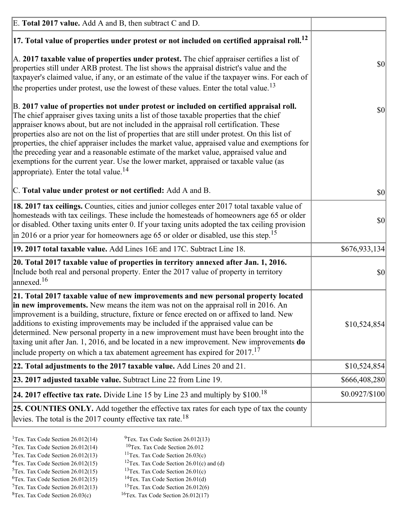| E. Total 2017 value. Add A and B, then subtract C and D.                                                                                                                                                                                                                                                                                                                                                                                                                                                                                                                                                                                                                                                                 |                |
|--------------------------------------------------------------------------------------------------------------------------------------------------------------------------------------------------------------------------------------------------------------------------------------------------------------------------------------------------------------------------------------------------------------------------------------------------------------------------------------------------------------------------------------------------------------------------------------------------------------------------------------------------------------------------------------------------------------------------|----------------|
| $ 17$ . Total value of properties under protest or not included on certified appraisal roll. <sup>12</sup>                                                                                                                                                                                                                                                                                                                                                                                                                                                                                                                                                                                                               |                |
| A. 2017 taxable value of properties under protest. The chief appraiser certifies a list of<br>properties still under ARB protest. The list shows the appraisal district's value and the<br>taxpayer's claimed value, if any, or an estimate of the value if the taxpayer wins. For each of<br>the properties under protest, use the lowest of these values. Enter the total value. <sup>13</sup>                                                                                                                                                                                                                                                                                                                         | \$0            |
| B. 2017 value of properties not under protest or included on certified appraisal roll.<br>The chief appraiser gives taxing units a list of those taxable properties that the chief<br>appraiser knows about, but are not included in the appraisal roll certification. These<br>properties also are not on the list of properties that are still under protest. On this list of<br>properties, the chief appraiser includes the market value, appraised value and exemptions for<br>the preceding year and a reasonable estimate of the market value, appraised value and<br>exemptions for the current year. Use the lower market, appraised or taxable value (as<br>appropriate). Enter the total value. <sup>14</sup> | <b>\$0</b>     |
| C. Total value under protest or not certified: Add A and B.                                                                                                                                                                                                                                                                                                                                                                                                                                                                                                                                                                                                                                                              | $ 10\rangle$   |
| 18. 2017 tax ceilings. Counties, cities and junior colleges enter 2017 total taxable value of<br>homesteads with tax ceilings. These include the homesteads of homeowners age 65 or older<br>or disabled. Other taxing units enter 0. If your taxing units adopted the tax ceiling provision<br>$\vert$ in 2016 or a prior year for homeowners age 65 or older or disabled, use this step. <sup>15</sup>                                                                                                                                                                                                                                                                                                                 | \$0            |
| 19. 2017 total taxable value. Add Lines 16E and 17C. Subtract Line 18.                                                                                                                                                                                                                                                                                                                                                                                                                                                                                                                                                                                                                                                   | \$676,933,134] |
| 20. Total 2017 taxable value of properties in territory annexed after Jan. 1, 2016.<br>Include both real and personal property. Enter the 2017 value of property in territory<br>$\alpha$ annexed. <sup>16</sup>                                                                                                                                                                                                                                                                                                                                                                                                                                                                                                         | $ 10\rangle$   |
| 21. Total 2017 taxable value of new improvements and new personal property located<br>in new improvements. New means the item was not on the appraisal roll in 2016. An<br>improvement is a building, structure, fixture or fence erected on or affixed to land. New<br>additions to existing improvements may be included if the appraised value can be<br>determined. New personal property in a new improvement must have been brought into the<br>taxing unit after Jan. 1, 2016, and be located in a new improvement. New improvements <b>do</b><br>include property on which a tax abatement agreement has expired for $2017$ . <sup>17</sup>                                                                      | \$10,524,854   |
| 22. Total adjustments to the 2017 taxable value. Add Lines 20 and 21.                                                                                                                                                                                                                                                                                                                                                                                                                                                                                                                                                                                                                                                    | \$10,524,854   |
| 23. 2017 adjusted taxable value. Subtract Line 22 from Line 19.                                                                                                                                                                                                                                                                                                                                                                                                                                                                                                                                                                                                                                                          | \$666,408,280  |
| 24. 2017 effective tax rate. Divide Line 15 by Line 23 and multiply by $$100$ . <sup>18</sup>                                                                                                                                                                                                                                                                                                                                                                                                                                                                                                                                                                                                                            | \$0.0927/\$100 |
| 25. COUNTIES ONLY. Add together the effective tax rates for each type of tax the county<br>levies. The total is the 2017 county effective tax rate. <sup>18</sup>                                                                                                                                                                                                                                                                                                                                                                                                                                                                                                                                                        |                |

- <sup>2</sup>Tex. Tax Code Section 26.012(14)
- <sup>1</sup>Tex. Tax Code Section 26.012(14) <sup>9</sup>Tex. Tax Code Section 26.012(13) <sup>9</sup>Tex. Tax Code Section 26.012
	-
- <sup>3</sup>Tex. Tax Code Section 26.012(13) <sup>11</sup>Tex. Tax Code Section 26.03(c) <sup>4</sup>Tex. Tax Code Section 26.01(c) and <sup>12</sup>Tex. Tax Code Section 26.01(c) and <sup>12</sup>Tex. Tax Code Section 26.01(c) and <sup>12</sup>Tex. Tax Code Section 26.01(c)
	- <sup>12</sup>Tex. Tax Code Section 26.01(c) and (d)
	-
- <sup>5</sup>Tex. Tax Code Section 26.012(15) <sup>13</sup>Tex. Tax Code Section 26.01(c) <sup>6</sup>Tex. Tax Code Section 26.01(d) <sup>6</sup>Tex. Tax Code Section 26.012(15) <sup>14</sup>Tex. Tax Code Section 26.01(d)<sup>7</sup>Tex. Tax Code Section 26.012(6)
- $7$ Tex. Tax Code Section 26.012(13)
- 
- 
- ${}^{8}$ Tex. Tax Code Section 26.03(c)  ${}^{16}$ Tex. Tax Code Section 26.012(17)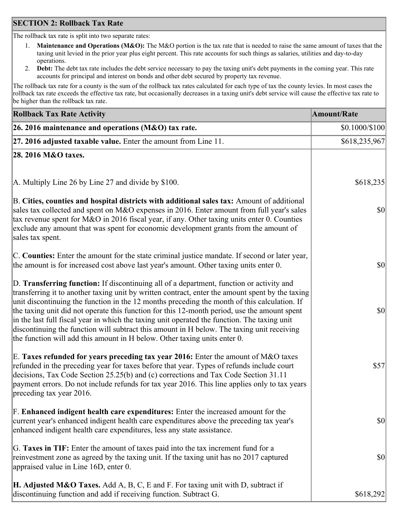### **SECTION 2: Rollback Tax Rate**

The rollback tax rate is split into two separate rates:

- 1. **Maintenance and Operations (M&O):** The M&O portion is the tax rate that is needed to raise the same amount of taxes that the taxing unit levied in the prior year plus eight percent. This rate accounts for such things as salaries, utilities and day-to-day operations.
- 2. **Debt:** The debt tax rate includes the debt service necessary to pay the taxing unit's debt payments in the coming year. This rate accounts for principal and interest on bonds and other debt secured by property tax revenue.

The rollback tax rate for a county is the sum of the rollback tax rates calculated for each type of tax the county levies. In most cases the rollback tax rate exceeds the effective tax rate, but occasionally decreases in a taxing unit's debt service will cause the effective tax rate to be higher than the rollback tax rate.

| <b>Rollback Tax Rate Activity</b>                                                                                                                                                                                                                                                                                                                                                                                                                                                                                                                                                                                                                                       | <b>Amount/Rate</b> |
|-------------------------------------------------------------------------------------------------------------------------------------------------------------------------------------------------------------------------------------------------------------------------------------------------------------------------------------------------------------------------------------------------------------------------------------------------------------------------------------------------------------------------------------------------------------------------------------------------------------------------------------------------------------------------|--------------------|
| 26. 2016 maintenance and operations (M&O) tax rate.                                                                                                                                                                                                                                                                                                                                                                                                                                                                                                                                                                                                                     | \$0.1000/\$100     |
| $ 27.2016$ adjusted taxable value. Enter the amount from Line 11.                                                                                                                                                                                                                                                                                                                                                                                                                                                                                                                                                                                                       | \$618,235,967      |
| 28. 2016 M&O taxes.                                                                                                                                                                                                                                                                                                                                                                                                                                                                                                                                                                                                                                                     |                    |
|                                                                                                                                                                                                                                                                                                                                                                                                                                                                                                                                                                                                                                                                         |                    |
| A. Multiply Line 26 by Line 27 and divide by \$100.                                                                                                                                                                                                                                                                                                                                                                                                                                                                                                                                                                                                                     | \$618,235          |
| B. Cities, counties and hospital districts with additional sales tax: Amount of additional<br>sales tax collected and spent on M&O expenses in 2016. Enter amount from full year's sales<br>tax revenue spent for M&O in 2016 fiscal year, if any. Other taxing units enter 0. Counties<br>exclude any amount that was spent for economic development grants from the amount of<br>sales tax spent.                                                                                                                                                                                                                                                                     | 30                 |
| C. Counties: Enter the amount for the state criminal justice mandate. If second or later year,<br>the amount is for increased cost above last year's amount. Other taxing units enter 0.                                                                                                                                                                                                                                                                                                                                                                                                                                                                                | 30                 |
| D. Transferring function: If discontinuing all of a department, function or activity and<br>transferring it to another taxing unit by written contract, enter the amount spent by the taxing<br>unit discontinuing the function in the 12 months preceding the month of this calculation. If<br>the taxing unit did not operate this function for this 12-month period, use the amount spent<br>in the last full fiscal year in which the taxing unit operated the function. The taxing unit<br>discontinuing the function will subtract this amount in H below. The taxing unit receiving<br>the function will add this amount in H below. Other taxing units enter 0. | \$0                |
| E. Taxes refunded for years preceding tax year 2016: Enter the amount of M&O taxes<br>refunded in the preceding year for taxes before that year. Types of refunds include court<br>decisions, Tax Code Section 25.25(b) and (c) corrections and Tax Code Section 31.11<br>payment errors. Do not include refunds for tax year 2016. This line applies only to tax years<br>preceding tax year 2016.                                                                                                                                                                                                                                                                     | \$57               |
| F. Enhanced indigent health care expenditures: Enter the increased amount for the<br>current year's enhanced indigent health care expenditures above the preceding tax year's<br>enhanced indigent health care expenditures, less any state assistance.                                                                                                                                                                                                                                                                                                                                                                                                                 | $ 10\rangle$       |
| G. Taxes in TIF: Enter the amount of taxes paid into the tax increment fund for a<br>reinvestment zone as agreed by the taxing unit. If the taxing unit has no 2017 captured<br>appraised value in Line 16D, enter 0.                                                                                                                                                                                                                                                                                                                                                                                                                                                   | $ 10\rangle$       |
| <b>H. Adjusted M&amp;O Taxes.</b> Add A, B, C, E and F. For taxing unit with D, subtract if<br>discontinuing function and add if receiving function. Subtract G.                                                                                                                                                                                                                                                                                                                                                                                                                                                                                                        | \$618,292          |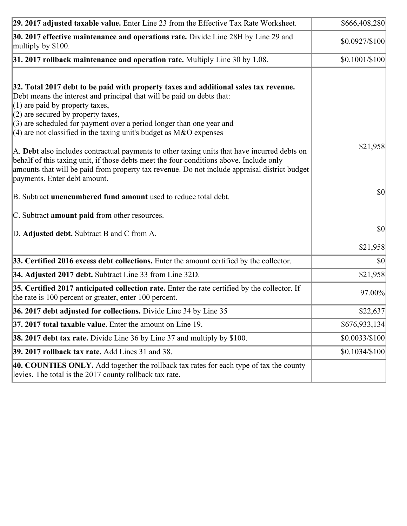| 29. 2017 adjusted taxable value. Enter Line 23 from the Effective Tax Rate Worksheet.                                                                                                                                                                                                                                                                                                                                                                                                                                                                                                                                                                                                                                     | \$666,408,280  |
|---------------------------------------------------------------------------------------------------------------------------------------------------------------------------------------------------------------------------------------------------------------------------------------------------------------------------------------------------------------------------------------------------------------------------------------------------------------------------------------------------------------------------------------------------------------------------------------------------------------------------------------------------------------------------------------------------------------------------|----------------|
| 30. 2017 effective maintenance and operations rate. Divide Line 28H by Line 29 and<br>multiply by \$100.                                                                                                                                                                                                                                                                                                                                                                                                                                                                                                                                                                                                                  | \$0.0927/\$100 |
| $31.2017$ rollback maintenance and operation rate. Multiply Line 30 by 1.08.                                                                                                                                                                                                                                                                                                                                                                                                                                                                                                                                                                                                                                              | \$0.1001/S100  |
| 32. Total 2017 debt to be paid with property taxes and additional sales tax revenue.<br>Debt means the interest and principal that will be paid on debts that:<br>$(1)$ are paid by property taxes,<br>$(2)$ are secured by property taxes,<br>$(3)$ are scheduled for payment over a period longer than one year and<br>(4) are not classified in the taxing unit's budget as $M&O$ expenses<br>A. Debt also includes contractual payments to other taxing units that have incurred debts on<br>behalf of this taxing unit, if those debts meet the four conditions above. Include only<br>amounts that will be paid from property tax revenue. Do not include appraisal district budget<br>payments. Enter debt amount. | \$21,958       |
| B. Subtract unencumbered fund amount used to reduce total debt.                                                                                                                                                                                                                                                                                                                                                                                                                                                                                                                                                                                                                                                           | \$0            |
| C. Subtract amount paid from other resources.                                                                                                                                                                                                                                                                                                                                                                                                                                                                                                                                                                                                                                                                             |                |
| D. Adjusted debt. Subtract B and C from A.                                                                                                                                                                                                                                                                                                                                                                                                                                                                                                                                                                                                                                                                                | $ 10\rangle$   |
|                                                                                                                                                                                                                                                                                                                                                                                                                                                                                                                                                                                                                                                                                                                           | \$21,958       |
| 33. Certified 2016 excess debt collections. Enter the amount certified by the collector.                                                                                                                                                                                                                                                                                                                                                                                                                                                                                                                                                                                                                                  | \$0            |
| 34. Adjusted 2017 debt. Subtract Line 33 from Line 32D.                                                                                                                                                                                                                                                                                                                                                                                                                                                                                                                                                                                                                                                                   | \$21,958       |
| 35. Certified 2017 anticipated collection rate. Enter the rate certified by the collector. If<br>the rate is 100 percent or greater, enter 100 percent.                                                                                                                                                                                                                                                                                                                                                                                                                                                                                                                                                                   | 97.00%         |
| 36. 2017 debt adjusted for collections. Divide Line 34 by Line 35                                                                                                                                                                                                                                                                                                                                                                                                                                                                                                                                                                                                                                                         | \$22,637       |
| 37. 2017 total taxable value. Enter the amount on Line 19.                                                                                                                                                                                                                                                                                                                                                                                                                                                                                                                                                                                                                                                                | \$676,933,134  |
| <b>38. 2017 debt tax rate.</b> Divide Line 36 by Line 37 and multiply by \$100.                                                                                                                                                                                                                                                                                                                                                                                                                                                                                                                                                                                                                                           | \$0.0033/\$100 |
| 39. 2017 rollback tax rate. Add Lines 31 and 38.                                                                                                                                                                                                                                                                                                                                                                                                                                                                                                                                                                                                                                                                          | \$0.1034/\$100 |
| 40. COUNTIES ONLY. Add together the rollback tax rates for each type of tax the county<br>levies. The total is the 2017 county rollback tax rate.                                                                                                                                                                                                                                                                                                                                                                                                                                                                                                                                                                         |                |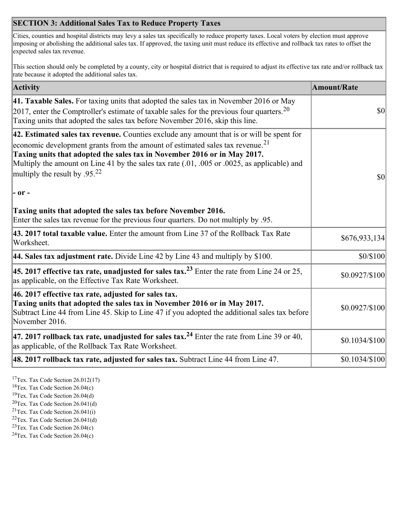## **SECTION 3: Additional Sales Tax to Reduce Property Taxes**

Cities, counties and hospital districts may levy a sales tax specifically to reduce property taxes. Local voters by election must approve imposing or abolishing the additional sales tax. If approved, the taxing unit must reduce its effective and rollback tax rates to offset the expected sales tax revenue.

This section should only be completed by a county, city or hospital district that is required to adjust its effective tax rate and/or rollback tax rate because it adopted the additional sales tax.

| <b>Activity</b>                                                                                                                                                                                                                                                                                                                                                                                         | <b>Amount/Rate</b> |
|---------------------------------------------------------------------------------------------------------------------------------------------------------------------------------------------------------------------------------------------------------------------------------------------------------------------------------------------------------------------------------------------------------|--------------------|
| 41. Taxable Sales. For taxing units that adopted the sales tax in November 2016 or May<br>[2017, enter the Comptroller's estimate of taxable sales for the previous four quarters. <sup>20</sup><br>Taxing units that adopted the sales tax before November 2016, skip this line.                                                                                                                       | $\vert$ so $\vert$ |
| 42. Estimated sales tax revenue. Counties exclude any amount that is or will be spent for<br>economic development grants from the amount of estimated sales tax revenue. <sup>21</sup><br>Taxing units that adopted the sales tax in November 2016 or in May 2017.<br>Multiply the amount on Line 41 by the sales tax rate (.01, .005 or .0025, as applicable) and<br>multiply the result by $.95^{22}$ | \$0                |
| $ -$ or $-$                                                                                                                                                                                                                                                                                                                                                                                             |                    |
| Taxing units that adopted the sales tax before November 2016.<br>Enter the sales tax revenue for the previous four quarters. Do not multiply by .95.                                                                                                                                                                                                                                                    |                    |
| 43. 2017 total taxable value. Enter the amount from Line 37 of the Rollback Tax Rate<br>Worksheet.                                                                                                                                                                                                                                                                                                      | \$676,933,134      |
| 44. Sales tax adjustment rate. Divide Line 42 by Line 43 and multiply by $$100$ .                                                                                                                                                                                                                                                                                                                       | \$0/\$100          |
| 45. 2017 effective tax rate, unadjusted for sales tax. <sup>23</sup> Enter the rate from Line 24 or 25,<br>as applicable, on the Effective Tax Rate Worksheet.                                                                                                                                                                                                                                          | \$0.0927/\$100     |
| 46. 2017 effective tax rate, adjusted for sales tax.<br>Taxing units that adopted the sales tax in November 2016 or in May 2017.<br>Subtract Line 44 from Line 45. Skip to Line 47 if you adopted the additional sales tax before<br>November 2016.                                                                                                                                                     | \$0.0927/\$100     |
| 47. 2017 rollback tax rate, unadjusted for sales tax. <sup>24</sup> Enter the rate from Line 39 or 40,<br>as applicable, of the Rollback Tax Rate Worksheet.                                                                                                                                                                                                                                            | \$0.1034/\$100     |
| $ 48.2017$ rollback tax rate, adjusted for sales tax. Subtract Line 44 from Line 47.                                                                                                                                                                                                                                                                                                                    | \$0.1034/\$100     |

<sup>17</sup>Tex. Tax Code Section 26.012(17)

<sup>18</sup>Tex. Tax Code Section 26.04(c)

<sup>19</sup>Tex. Tax Code Section 26.04(d)

<sup>20</sup>Tex. Tax Code Section 26.041(d)

- $21$ Tex. Tax Code Section 26.041(i)
- <sup>22</sup>Tex. Tax Code Section 26.041(d)
- <sup>23</sup>Tex. Tax Code Section  $26.04(c)$

<sup>24</sup>Tex. Tax Code Section  $26.04(c)$